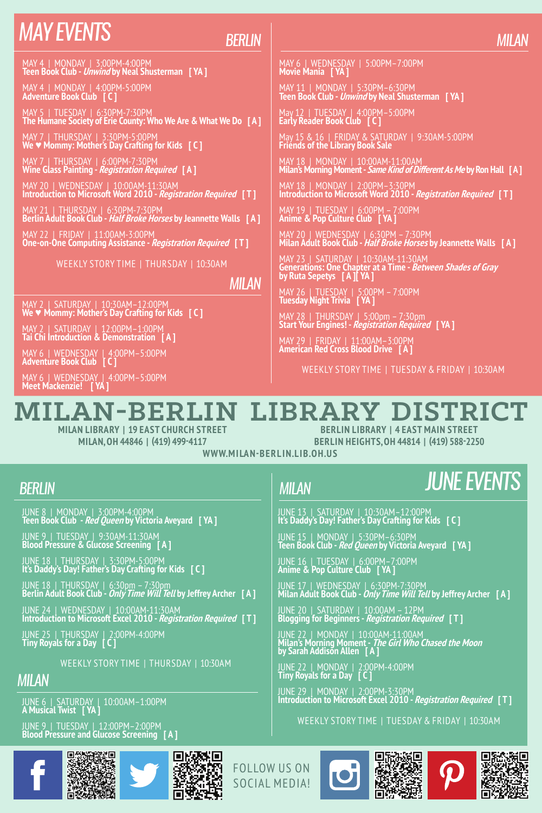## *may events*

### *Berlin*

MAY 4 | MONDAY | 3:00PM-4:00PM **Teen Book Club - Unwind by Neal Shusterman [ YA ]**

MAY 4 | MONDAY | 4:00PM-5:00PM **Adventure Book Club [ C ]**

MAY 5 | TUESDAY | 6:30PM-7:30PM **The Humane Society of Erie County: Who We Are & What We Do [ A ]**

MAY 7 | THURSDAY | 3:30PM-5:00PM **We ♥ Mommy: Mother's Day Crafting for Kids [ C ]**

MAY 7 | THURSDAY | 6:00PM-7:30PM **Wine Glass Painting - Registration Required [ A ]**

MAY 20 | WEDNESDAY | 10:00AM-11:30AM **Introduction to Microsoft Word 2010 - Registration Required [ T ]**

MAY 21 | THURSDAY | 6:30PM-7:30PM **Berlin Adult Book Club - Half Broke Horses by Jeannette Walls [ A ]**

MAY 22 | FRIDAY | 11:00AM-3:00PM **One-on-One Computing Assistance - Registration Required [ T ]**

Weekly Story Time | THURSDAY | 10:30AM

*milan*

MAY 2 | SATURDAY | 10:30AM–12:00PM **We ♥ Mommy: Mother's Day Crafting for Kids [ C ]**

MAY 2 | SATURDAY | 12:00PM–1:00PM **Tai Chi Introduction & Demonstration [ A ]**

MAY 6 | WEDNESDAY | 4:00PM–5:00PM **Adventure Book Club [ C ]**

MAY 6 | WEDNESDAY | 4:00PM–5:00PM **Meet Mackenzie! [ YA ]**

## MAY 6 | WEDNESDAY | 5:00PM–7:00PM **Movie Mania [ YA ]**

MAY 11 | MONDAY | 5:30PM–6:30PM **Teen Book Club - Unwind by Neal Shusterman [ YA ]**

May 12 | TUESDAY | 4:00PM–5:00PM **Early Reader Book Club [ C ]**

May 15 & 16 | FRIDAY & SATURDAY | 9:30AM-5:00PM **Friends of the Library Book Sale**

MAY 18 | MONDAY | 10:00AM-11:00AM **Milan's Morning Moment - Same Kind of Different As Me by Ron Hall [ A ]**

MAY 18 | MONDAY | 2:00PM–3:30PM **Introduction to Microsoft Word 2010 - Registration Required [ T ]**

MAY 19 | TUESDAY | 6:00PM – 7:00PM **Anime & Pop Culture Club [ YA ]**

MAY 20 | WEDNESDAY | 6:30PM – 7:30PM **Milan Adult Book Club - Half Broke Horses by Jeannette Walls [ A ]**

MAY 23 | SATURDAY | 10:30AM-11:30AM<br>Generations**: One Chapter at a Time -** *Between Shades of Gray***<br>by Ruta Sepetys [ A ][ YA ]** 

MAY 26 | TUESDAY | 5:00PM – 7:00PM **Tuesday Night Trivia [ YA ]**

MAY 28 | THURSDAY | 5:00pm – 7:30pm **Start Your Engines! - Registration Required [ YA ]**

JUNE 13 | SATURDAY | 10:30AM–12:00PM **It's Daddy's Day! Father's Day Crafting for Kids [ C ]** JUNE 15 | MONDAY | 5:30PM–6:30PM **Teen Book Club - Red Queen by Victoria Aveyard [ YA ]**

JUNE 20 | SATURDAY | 10:00AM – 12PM **Blogging for Beginners - Registration Required [ T ]**

JUNE 22 | MONDAY | 10:00AM-11:00AM **Milan's Morning Moment - The Girl Who Chased the Moon by Sarah Addison Allen [ A ]**

JUNE 16 | TUESDAY | 6:00PM–7:00PM **Anime & Pop Culture Club [ YA ]**

JUNE 22 | MONDAY | 2:00PM-4:00PM **Tiny Royals for a Day [ C ]**

MAY 29 | FRIDAY | 11:00AM–3:00PM **American Red Cross Blood Drive [ A ]**

Weekly Story Time | TUESDAY & FRIDAY | 10:30AM

# **Milan-Berlin Library District**

**Milan Library | 19 East Church Street Milan, OH 44846 | (419) 499-4117**

**Berlin Library | 4 East Main Street Berlin Heights, OH 44814 | (419) 588-2250**

WWW.MILAN-BERLIN.LIB.OH.US

#### *Berlin*

*milan*

## *june events*

JUNE 8 | MONDAY | 3:00PM-4:00PM **Teen Book Club - Red Queen by Victoria Aveyard [ YA ]**

JUNE 9 | TUESDAY | 9:30AM-11:30AM **Blood Pressure & Glucose Screening [ A ]**

JUNE 18 | THURSDAY | 3:30PM-5:00PM **It's Daddy's Day! Father's Day Crafting for Kids [ C ]**

JUNE 18 | THURSDAY | 6:30pm – 7:30pm **Berlin Adult Book Club - Only Time Will Tell by Jeffrey Archer [ A ]**

JUNE 24 | WEDNESDAY | 10:00AM-11:30AM **Introduction to Microsoft Excel 2010 - Registration Required [ T ]**

JUNE 25 | THURSDAY | 2:00PM-4:00PM **Tiny Royals for a Day [ C ]**

Weekly Story Time | THURSDAY | 10:30AM

*milan*

JUNE 6 | SATURDAY | 10:00AM–1:00PM **A Musical Twist [ YA ]**

JUNE 9 | TUESDAY | 12:00PM–2:00PM **Blood Pressure and Glucose Screening [ A ]**

JUNE 29 | MONDAY | 2:00PM-3:30PM **Introduction to Microsoft Excel 2010 - Registration Required [ T ]** Weekly Story Time | TUESDAY & FRIDAY | 10:30AM

JUNE 17 | WEDNESDAY | 6:30PM-7:30PM **Milan Adult Book Club - Only Time Will Tell by Jeffrey Archer [ A ]**











Follow us on social media!

# *milan*